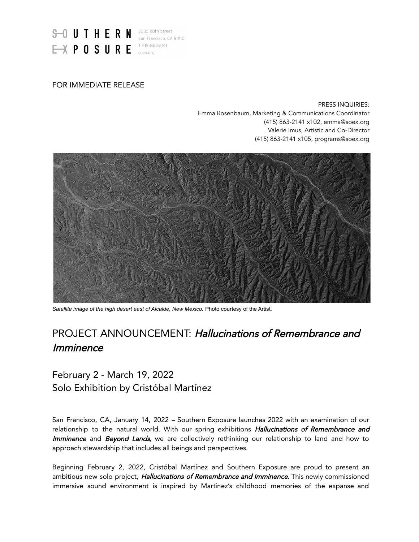

## FOR IMMEDIATE RELEASE

PRESS INQUIRIES: Emma Rosenbaum, Marketing & Communications Coordinator (415) 863-2141 x102, emma@soex.org Valerie Imus, Artistic and Co-Director (415) 863-2141 x105, programs@soex.org



*Satellite image of the high desert east of Alcalde, New Mexico.* Photo courtesy of the Artist.

# PROJECT ANNOUNCEMENT: Hallucinations of Remembrance and Imminence

# February 2 - March 19, 2022 Solo Exhibition by Cristóbal Martínez

San Francisco, CA, January 14, 2022 – Southern Exposure launches 2022 with an examination of our relationship to the natural world. With our spring exhibitions Hallucinations of Remembrance and Imminence and Beyond Lands, we are collectively rethinking our relationship to land and how to approach stewardship that includes all beings and perspectives.

Beginning February 2, 2022, Cristóbal Martínez and Southern Exposure are proud to present an ambitious new solo project, *Hallucinations of Remembrance and Imminence*. This newly commissioned immersive sound environment is inspired by Martinez's childhood memories of the expanse and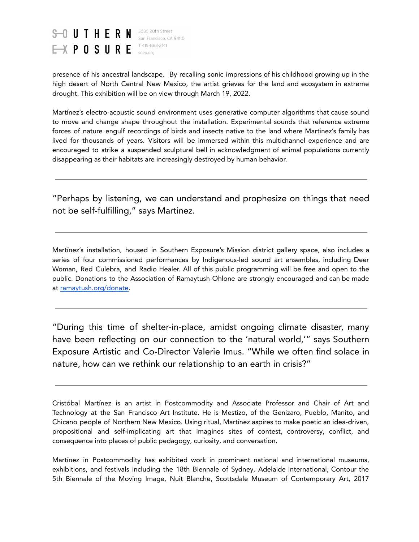

T 415-863-2141

presence of his ancestral landscape. By recalling sonic impressions of his childhood growing up in the high desert of North Central New Mexico, the artist grieves for the land and ecosystem in extreme drought. This exhibition will be on view through March 19, 2022.

Martínez's electro-acoustic sound environment uses generative computer algorithms that cause sound to move and change shape throughout the installation. Experimental sounds that reference extreme forces of nature engulf recordings of birds and insects native to the land where Martinez's family has lived for thousands of years. Visitors will be immersed within this multichannel experience and are encouraged to strike a suspended sculptural bell in acknowledgment of animal populations currently disappearing as their habitats are increasingly destroyed by human behavior.

"Perhaps by listening, we can understand and prophesize on things that need not be self-fulfilling," says Martinez.

Martínez's installation, housed in Southern Exposure's Mission district gallery space, also includes a series of four commissioned performances by Indigenous-led sound art ensembles, including Deer Woman, Red Culebra, and Radio Healer. All of this public programming will be free and open to the public. Donations to the Association of Ramaytush Ohlone are strongly encouraged and can be made at [ramaytush.org/donate.](https://www.ramaytush.org/donate)

"During this time of shelter-in-place, amidst ongoing climate disaster, many have been reflecting on our connection to the 'natural world,'" says Southern Exposure Artistic and Co-Director Valerie Imus. "While we often find solace in nature, how can we rethink our relationship to an earth in crisis?"

Cristóbal Martínez is an artist in Postcommodity and Associate Professor and Chair of Art and Technology at the San Francisco Art Institute. He is Mestizo, of the Genizaro, Pueblo, Manito, and Chicano people of Northern New Mexico. Using ritual, Martínez aspires to make poetic an idea-driven, propositional and self-implicating art that imagines sites of contest, controversy, conflict, and consequence into places of public pedagogy, curiosity, and conversation.

Martínez in Postcommodity has exhibited work in prominent national and international museums, exhibitions, and festivals including the 18th Biennale of Sydney, Adelaide International, Contour the 5th Biennale of the Moving Image, Nuit Blanche, Scottsdale Museum of Contemporary Art, 2017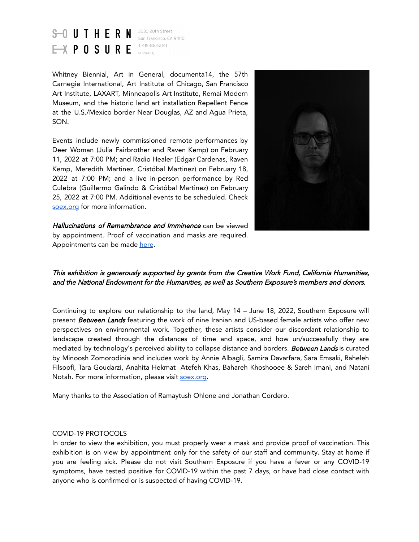

3030 20th Street San Francisco, CA 94110 T 415-863-2141

Whitney Biennial, Art in General, documenta14, the 57th Carnegie International, Art Institute of Chicago, San Francisco Art Institute, LAXART, Minneapolis Art Institute, Remai Modern Museum, and the historic land art installation Repellent Fence at the U.S./Mexico border Near Douglas, AZ and Agua Prieta, SON.

Events include newly commissioned remote performances by Deer Woman (Julia Fairbrother and Raven Kemp) on February 11, 2022 at 7:00 PM; and Radio Healer (Edgar Cardenas, Raven Kemp, Meredith Martinez, Cristóbal Martinez) on February 18, 2022 at 7:00 PM; and a live in-person performance by Red Culebra (Guillermo Galindo & Cristóbal Martinez) on February 25, 2022 at 7:00 PM. Additional events to be scheduled. Check [soex.org](https://soex.org/) for more information.



Hallucinations of Remembrance and Imminence can be viewed by appointment. Proof of vaccination and masks are required. Appointments can be made [here](https://calendly.com/southern-exposure/soex-hallucinations_of_remembrance_and_imminence?month=2022-01).

This exhibition is generously supported by grants from the Creative Work Fund, California Humanities, and the National Endowment for the Humanities, as well as Southern Exposure's members and donors.

Continuing to explore our relationship to the land, May 14 – June 18, 2022, Southern Exposure will present Between Lands featuring the work of nine Iranian and US-based female artists who offer new perspectives on environmental work. Together, these artists consider our discordant relationship to landscape created through the distances of time and space, and how un/successfully they are mediated by technology's perceived ability to collapse distance and borders. Between Lands is curated by Minoosh Zomorodinia and includes work by Annie Albagli, Samira Davarfara, Sara Emsaki, Raheleh Filsoofi, Tara Goudarzi, Anahita Hekmat Atefeh Khas, Bahareh Khoshooee & Sareh Imani, and Natani Notah. For more information, please visit [soex.org](https://soex.org/).

Many thanks to the Association of Ramaytush Ohlone and Jonathan Cordero.

#### COVID-19 PROTOCOLS

In order to view the exhibition, you must properly wear a mask and provide proof of vaccination. This exhibition is on view by appointment only for the safety of our staff and community. Stay at home if you are feeling sick. Please do not visit Southern Exposure if you have a fever or any COVID-19 symptoms, have tested positive for COVID-19 within the past 7 days, or have had close contact with anyone who is confirmed or is suspected of having COVID-19.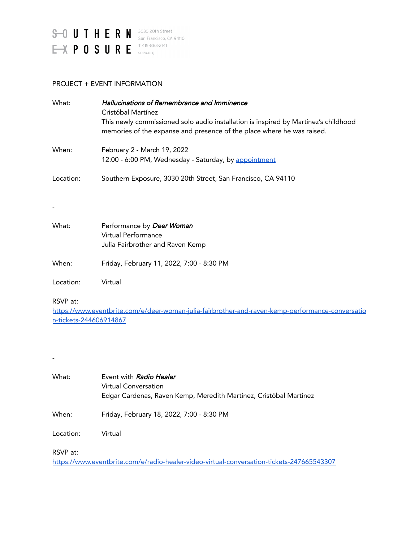

#### PROJECT + EVENT INFORMATION

| What:     | Hallucinations of Remembrance and Imminence<br>Cristóbal Martínez<br>This newly commissioned solo audio installation is inspired by Martinez's childhood<br>memories of the expanse and presence of the place where he was raised. |
|-----------|------------------------------------------------------------------------------------------------------------------------------------------------------------------------------------------------------------------------------------|
| When:     | February 2 - March 19, 2022<br>12:00 - 6:00 PM, Wednesday - Saturday, by appointment                                                                                                                                               |
| Location: | Southern Exposure, 3030 20th Street, San Francisco, CA 94110                                                                                                                                                                       |

| What: | Performance by Deer Woman        |
|-------|----------------------------------|
|       | Virtual Performance              |
|       | Julia Fairbrother and Raven Kemp |
|       |                                  |

When: Friday, February 11, 2022, 7:00 - 8:30 PM

Location: Virtual

### RSVP at:

-

[https://www.eventbrite.com/e/deer-woman-julia-fairbrother-and-raven-kemp-performance-conversatio](https://www.eventbrite.com/e/deer-woman-julia-fairbrother-and-raven-kemp-performance-conversation-tickets-244606914867) [n-tickets-244606914867](https://www.eventbrite.com/e/deer-woman-julia-fairbrother-and-raven-kemp-performance-conversation-tickets-244606914867)

-

What: Event with Radio Healer Virtual Conversation Edgar Cardenas, Raven Kemp, Meredith Martinez, Cristóbal Martinez

When: Friday, February 18, 2022, 7:00 - 8:30 PM

Location: Virtual

RSVP at:

<https://www.eventbrite.com/e/radio-healer-video-virtual-conversation-tickets-247665543307>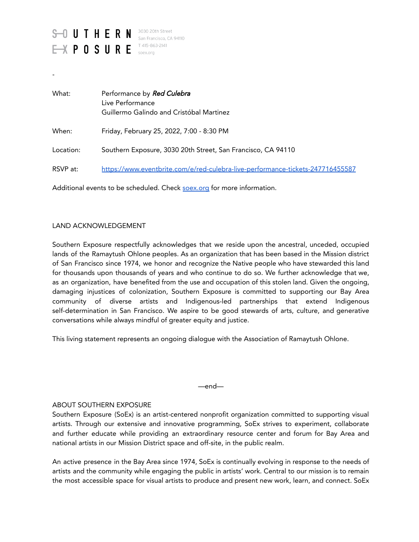

-

| What:     | Performance by Red Culebra<br>Live Performance<br>Guillermo Galindo and Cristóbal Martinez |
|-----------|--------------------------------------------------------------------------------------------|
| When:     | Friday, February 25, 2022, 7:00 - 8:30 PM                                                  |
| Location: | Southern Exposure, 3030 20th Street, San Francisco, CA 94110                               |
| RSVP at:  | https://www.eventbrite.com/e/red-culebra-live-performance-tickets-247716455587             |

Additional events to be scheduled. Check [soex.org](https://soex.org/) for more information.

#### LAND ACKNOWLEDGEMENT

Southern Exposure respectfully acknowledges that we reside upon the ancestral, unceded, occupied lands of the Ramaytush Ohlone peoples. As an organization that has been based in the Mission district of San Francisco since 1974, we honor and recognize the Native people who have stewarded this land for thousands upon thousands of years and who continue to do so. We further acknowledge that we, as an organization, have benefited from the use and occupation of this stolen land. Given the ongoing, damaging injustices of colonization, Southern Exposure is committed to supporting our Bay Area community of diverse artists and Indigenous-led partnerships that extend Indigenous self-determination in San Francisco. We aspire to be good stewards of arts, culture, and generative conversations while always mindful of greater equity and justice.

This living statement represents an ongoing dialogue with the Association of Ramaytush Ohlone.

—end—

#### ABOUT SOUTHERN EXPOSURE

Southern Exposure (SoEx) is an artist-centered nonprofit organization committed to supporting visual artists. Through our extensive and innovative programming, SoEx strives to experiment, collaborate and further educate while providing an extraordinary resource center and forum for Bay Area and national artists in our Mission District space and off-site, in the public realm.

An active presence in the Bay Area since 1974, SoEx is continually evolving in response to the needs of artists and the community while engaging the public in artists' work. Central to our mission is to remain the most accessible space for visual artists to produce and present new work, learn, and connect. SoEx